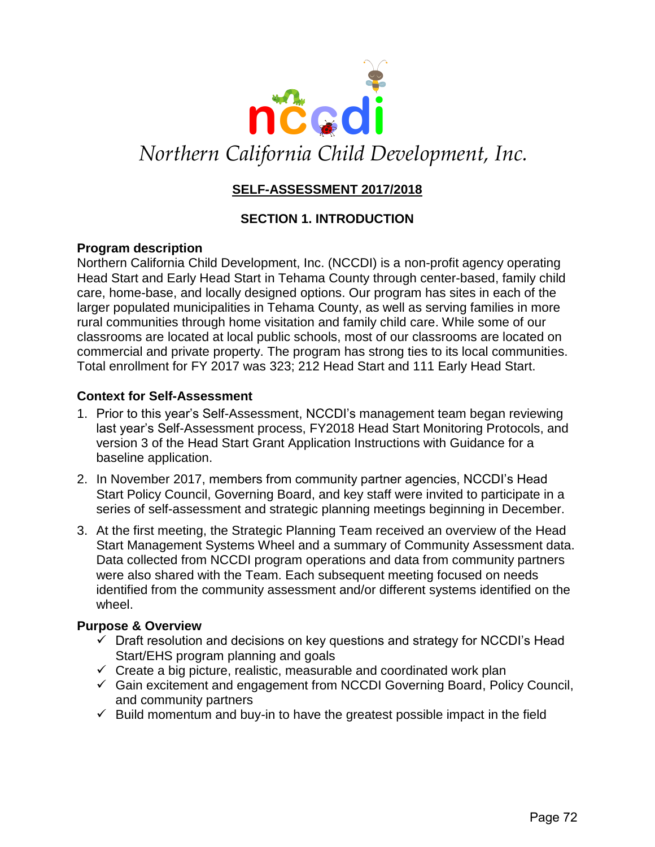

# Northern California Child Development, Inc.

# **SELF-ASSESSMENT 2017/2018**

## **SECTION 1. INTRODUCTION**

#### **Program description**

Northern California Child Development, Inc. (NCCDI) is a non-profit agency operating Head Start and Early Head Start in Tehama County through center-based, family child care, home-base, and locally designed options. Our program has sites in each of the larger populated municipalities in Tehama County, as well as serving families in more rural communities through home visitation and family child care. While some of our classrooms are located at local public schools, most of our classrooms are located on commercial and private property. The program has strong ties to its local communities. Total enrollment for FY 2017 was 323; 212 Head Start and 111 Early Head Start.

#### **Context for Self-Assessment**

- 1. Prior to this year's Self-Assessment, NCCDI's management team began reviewing last year's Self-Assessment process, FY2018 Head Start Monitoring Protocols, and version 3 of the Head Start Grant Application Instructions with Guidance for a baseline application.
- 2. In November 2017, members from community partner agencies, NCCDI's Head Start Policy Council, Governing Board, and key staff were invited to participate in a series of self-assessment and strategic planning meetings beginning in December.
- 3. At the first meeting, the Strategic Planning Team received an overview of the Head Start Management Systems Wheel and a summary of Community Assessment data. Data collected from NCCDI program operations and data from community partners were also shared with the Team. Each subsequent meeting focused on needs identified from the community assessment and/or different systems identified on the wheel.

#### **Purpose & Overview**

- $\checkmark$  Draft resolution and decisions on key questions and strategy for NCCDI's Head Start/EHS program planning and goals
- $\checkmark$  Create a big picture, realistic, measurable and coordinated work plan
- $\checkmark$  Gain excitement and engagement from NCCDI Governing Board, Policy Council, and community partners
- $\checkmark$  Build momentum and buy-in to have the greatest possible impact in the field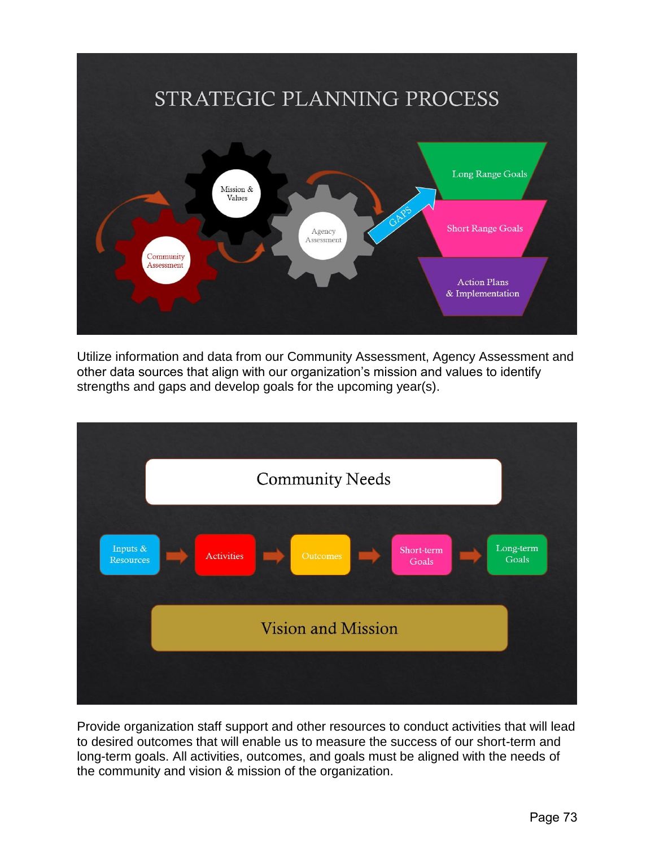

Utilize information and data from our Community Assessment, Agency Assessment and other data sources that align with our organization's mission and values to identify strengths and gaps and develop goals for the upcoming year(s).



Provide organization staff support and other resources to conduct activities that will lead to desired outcomes that will enable us to measure the success of our short-term and long-term goals. All activities, outcomes, and goals must be aligned with the needs of the community and vision & mission of the organization.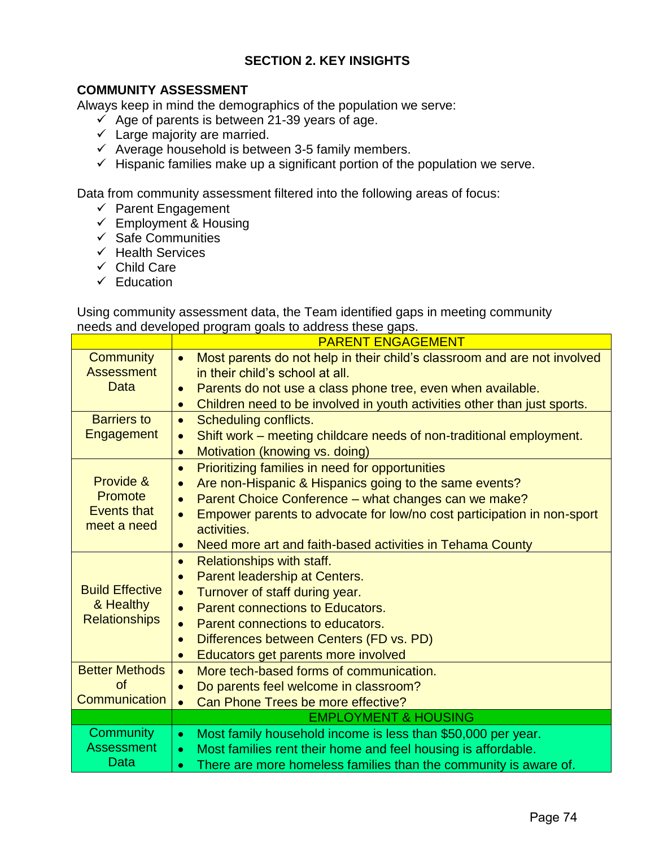# **SECTION 2. KEY INSIGHTS**

## **COMMUNITY ASSESSMENT**

Always keep in mind the demographics of the population we serve:

- $\checkmark$  Age of parents is between 21-39 years of age.
- $\checkmark$  Large majority are married.
- $\checkmark$  Average household is between 3-5 family members.
- $\checkmark$  Hispanic families make up a significant portion of the population we serve.

Data from community assessment filtered into the following areas of focus:

- ✓ Parent Engagement
- $\checkmark$  Employment & Housing
- $\checkmark$  Safe Communities
- ✓ Health Services
- ✓ Child Care
- ✓ Education

Using community assessment data, the Team identified gaps in meeting community needs and developed program goals to address these gaps.

|                        | <b>PARENT ENGAGEMENT</b>                                                              |  |
|------------------------|---------------------------------------------------------------------------------------|--|
| <b>Community</b>       | Most parents do not help in their child's classroom and are not involved<br>$\bullet$ |  |
| <b>Assessment</b>      | in their child's school at all.                                                       |  |
| <b>Data</b>            | Parents do not use a class phone tree, even when available.<br>$\bullet$              |  |
|                        | Children need to be involved in youth activities other than just sports.<br>$\bullet$ |  |
| <b>Barriers to</b>     | Scheduling conflicts.<br>$\bullet$                                                    |  |
| Engagement             | Shift work – meeting childcare needs of non-traditional employment.<br>$\bullet$      |  |
|                        | Motivation (knowing vs. doing)<br>$\bullet$                                           |  |
|                        | Prioritizing families in need for opportunities<br>$\bullet$                          |  |
| Provide &              | Are non-Hispanic & Hispanics going to the same events?<br>$\bullet$                   |  |
| Promote                | Parent Choice Conference - what changes can we make?<br>$\bullet$                     |  |
| <b>Events that</b>     | Empower parents to advocate for low/no cost participation in non-sport                |  |
| meet a need            | activities.                                                                           |  |
|                        | Need more art and faith-based activities in Tehama County<br>$\bullet$                |  |
|                        | Relationships with staff.<br>$\bullet$                                                |  |
|                        | Parent leadership at Centers.<br>$\bullet$                                            |  |
| <b>Build Effective</b> | Turnover of staff during year.<br>$\bullet$                                           |  |
| & Healthy              | Parent connections to Educators.<br>$\bullet$                                         |  |
| <b>Relationships</b>   | Parent connections to educators.<br>$\bullet$                                         |  |
|                        | Differences between Centers (FD vs. PD)<br>$\bullet$                                  |  |
|                        | Educators get parents more involved<br>$\bullet$                                      |  |
| <b>Better Methods</b>  | More tech-based forms of communication.<br>$\bullet$                                  |  |
| <b>of</b>              | Do parents feel welcome in classroom?                                                 |  |
| Communication          | Can Phone Trees be more effective?<br>$\bullet$                                       |  |
|                        | <b>EMPLOYMENT &amp; HOUSING</b>                                                       |  |
| <b>Community</b>       | Most family household income is less than \$50,000 per year.<br>$\bullet$             |  |
| <b>Assessment</b>      | Most families rent their home and feel housing is affordable.<br>$\bullet$            |  |
| Data                   | There are more homeless families than the community is aware of.<br>$\bullet$         |  |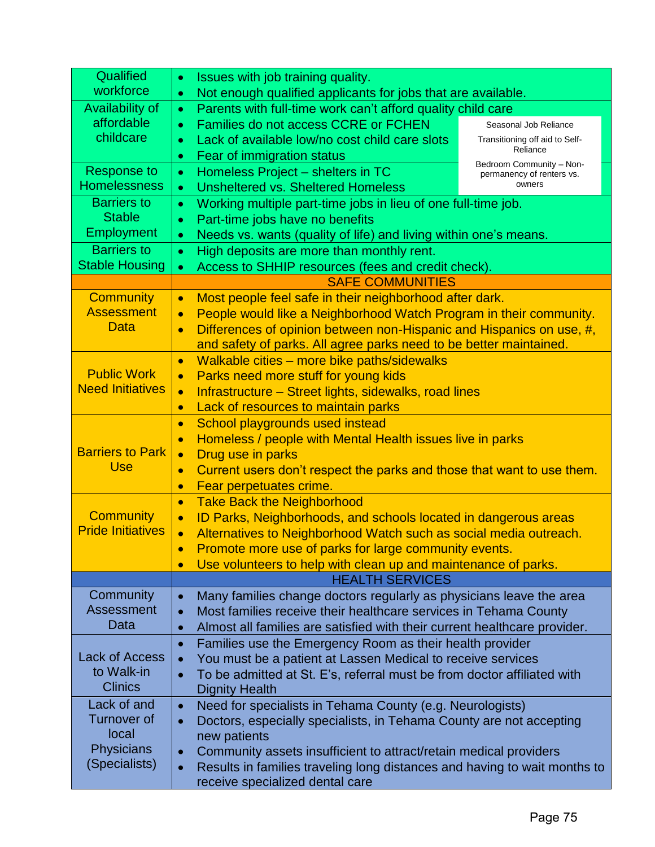| Qualified                                                         | Issues with job training quality.<br>$\bullet$                                                                                                       |  |
|-------------------------------------------------------------------|------------------------------------------------------------------------------------------------------------------------------------------------------|--|
| workforce                                                         | Not enough qualified applicants for jobs that are available.<br>$\bullet$                                                                            |  |
| <b>Availability of</b>                                            | Parents with full-time work can't afford quality child care<br>$\bullet$                                                                             |  |
| affordable                                                        | Families do not access CCRE or FCHEN<br>Seasonal Job Reliance<br>$\bullet$                                                                           |  |
| childcare                                                         | Lack of available low/no cost child care slots<br>Transitioning off aid to Self-<br>$\bullet$<br>Reliance<br>Fear of immigration status<br>$\bullet$ |  |
| <b>Response to</b>                                                | Bedroom Community - Non-<br>Homeless Project - shelters in TC<br>$\bullet$                                                                           |  |
| <b>Homelessness</b>                                               | permanency of renters vs.<br>owners<br><b>Unsheltered vs. Sheltered Homeless</b><br>$\bullet$                                                        |  |
|                                                                   | <b>Barriers to</b><br>Working multiple part-time jobs in lieu of one full-time job.<br>$\bullet$                                                     |  |
| <b>Stable</b>                                                     | Part-time jobs have no benefits<br>$\bullet$                                                                                                         |  |
| <b>Employment</b>                                                 | Needs vs. wants (quality of life) and living within one's means.<br>$\bullet$                                                                        |  |
| <b>Barriers to</b>                                                | High deposits are more than monthly rent.<br>$\bullet$                                                                                               |  |
| <b>Stable Housing</b>                                             | Access to SHHIP resources (fees and credit check).<br>$\bullet$                                                                                      |  |
|                                                                   | <b>SAFE COMMUNITIES</b>                                                                                                                              |  |
| <b>Community</b>                                                  | Most people feel safe in their neighborhood after dark.<br>$\bullet$                                                                                 |  |
| <b>Assessment</b>                                                 | People would like a Neighborhood Watch Program in their community.<br>$\bullet$                                                                      |  |
| Data                                                              | Differences of opinion between non-Hispanic and Hispanics on use, #,<br>$\bullet$                                                                    |  |
|                                                                   | and safety of parks. All agree parks need to be better maintained.                                                                                   |  |
|                                                                   | Walkable cities - more bike paths/sidewalks<br>$\bullet$                                                                                             |  |
| <b>Public Work</b>                                                | Parks need more stuff for young kids<br>$\bullet$                                                                                                    |  |
| <b>Need Initiatives</b>                                           | Infrastructure – Street lights, sidewalks, road lines<br>$\bullet$                                                                                   |  |
|                                                                   | Lack of resources to maintain parks<br>$\bullet$                                                                                                     |  |
|                                                                   | School playgrounds used instead<br>$\bullet$                                                                                                         |  |
|                                                                   | Homeless / people with Mental Health issues live in parks<br>$\bullet$                                                                               |  |
| <b>Barriers to Park</b>                                           | Drug use in parks<br>$\bullet$                                                                                                                       |  |
| <b>Use</b>                                                        | Current users don't respect the parks and those that want to use them.<br>$\bullet$                                                                  |  |
|                                                                   | Fear perpetuates crime.<br>$\bullet$                                                                                                                 |  |
|                                                                   | <b>Take Back the Neighborhood</b><br>$\bullet$                                                                                                       |  |
| <b>Community</b>                                                  | ID Parks, Neighborhoods, and schools located in dangerous areas<br>$\bullet$                                                                         |  |
| <b>Pride Initiatives</b>                                          | Alternatives to Neighborhood Watch such as social media outreach.<br>$\bullet$                                                                       |  |
|                                                                   | Promote more use of parks for large community events.                                                                                                |  |
|                                                                   | Use volunteers to help with clean up and maintenance of parks.<br>$\bullet$                                                                          |  |
|                                                                   | <b>HEALTH SERVICES</b>                                                                                                                               |  |
| Community                                                         | Many families change doctors regularly as physicians leave the area<br>$\bullet$                                                                     |  |
| <b>Assessment</b>                                                 | Most families receive their healthcare services in Tehama County<br>$\bullet$                                                                        |  |
| Data                                                              | Almost all families are satisfied with their current healthcare provider.<br>$\bullet$                                                               |  |
|                                                                   | Families use the Emergency Room as their health provider<br>$\bullet$                                                                                |  |
| <b>Lack of Access</b><br>to Walk-in                               | You must be a patient at Lassen Medical to receive services<br>$\bullet$                                                                             |  |
| <b>Clinics</b>                                                    | To be admitted at St. E's, referral must be from doctor affiliated with<br>$\bullet$                                                                 |  |
| Lack of and                                                       | <b>Dignity Health</b>                                                                                                                                |  |
|                                                                   | Need for specialists in Tehama County (e.g. Neurologists)<br>$\bullet$                                                                               |  |
| <b>Turnover of</b><br>local<br><b>Physicians</b><br>(Specialists) | Doctors, especially specialists, in Tehama County are not accepting<br>$\bullet$                                                                     |  |
|                                                                   | new patients                                                                                                                                         |  |
|                                                                   | Community assets insufficient to attract/retain medical providers<br>$\bullet$                                                                       |  |
|                                                                   | Results in families traveling long distances and having to wait months to<br>$\bullet$                                                               |  |
|                                                                   | receive specialized dental care                                                                                                                      |  |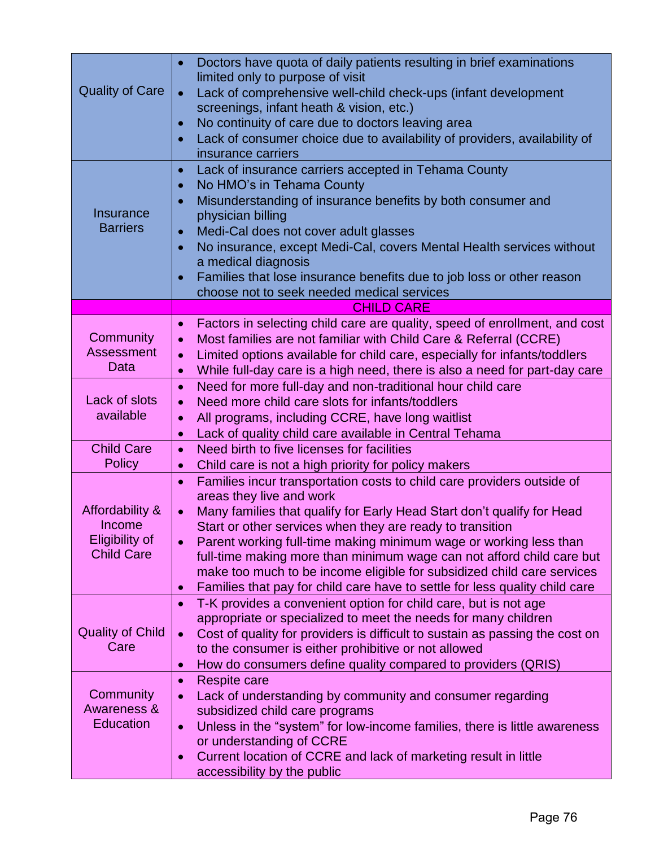| <b>Quality of Care</b>                                           | Doctors have quota of daily patients resulting in brief examinations<br>$\bullet$<br>limited only to purpose of visit<br>Lack of comprehensive well-child check-ups (infant development<br>$\bullet$<br>screenings, infant heath & vision, etc.)<br>No continuity of care due to doctors leaving area<br>$\bullet$<br>Lack of consumer choice due to availability of providers, availability of<br>$\bullet$<br>insurance carriers                                                                                                                                                      |
|------------------------------------------------------------------|-----------------------------------------------------------------------------------------------------------------------------------------------------------------------------------------------------------------------------------------------------------------------------------------------------------------------------------------------------------------------------------------------------------------------------------------------------------------------------------------------------------------------------------------------------------------------------------------|
| Insurance<br><b>Barriers</b>                                     | Lack of insurance carriers accepted in Tehama County<br>$\bullet$<br>No HMO's in Tehama County<br>$\bullet$<br>Misunderstanding of insurance benefits by both consumer and<br>physician billing<br>Medi-Cal does not cover adult glasses<br>$\bullet$<br>No insurance, except Medi-Cal, covers Mental Health services without<br>$\bullet$<br>a medical diagnosis<br>Families that lose insurance benefits due to job loss or other reason<br>choose not to seek needed medical services                                                                                                |
|                                                                  | <b>CHILD CARE</b>                                                                                                                                                                                                                                                                                                                                                                                                                                                                                                                                                                       |
| Community<br><b>Assessment</b><br>Data                           | Factors in selecting child care are quality, speed of enrollment, and cost<br>$\bullet$<br>Most families are not familiar with Child Care & Referral (CCRE)<br>$\bullet$<br>Limited options available for child care, especially for infants/toddlers<br>$\bullet$<br>While full-day care is a high need, there is also a need for part-day care<br>$\bullet$                                                                                                                                                                                                                           |
| Lack of slots<br>available                                       | Need for more full-day and non-traditional hour child care<br>$\bullet$<br>Need more child care slots for infants/toddlers<br>$\bullet$<br>All programs, including CCRE, have long waitlist<br>$\bullet$<br>Lack of quality child care available in Central Tehama<br>$\bullet$                                                                                                                                                                                                                                                                                                         |
| <b>Child Care</b><br><b>Policy</b>                               | Need birth to five licenses for facilities<br>$\bullet$<br>Child care is not a high priority for policy makers<br>$\bullet$                                                                                                                                                                                                                                                                                                                                                                                                                                                             |
| Affordability &<br>Income<br>Eligibility of<br><b>Child Care</b> | Families incur transportation costs to child care providers outside of<br>$\bullet$<br>areas they live and work<br>Many families that qualify for Early Head Start don't qualify for Head<br>$\bullet$<br>Start or other services when they are ready to transition<br>Parent working full-time making minimum wage or working less than<br>full-time making more than minimum wage can not afford child care but<br>make too much to be income eligible for subsidized child care services<br>Families that pay for child care have to settle for less quality child care<br>$\bullet$ |
| <b>Quality of Child</b><br>Care                                  | T-K provides a convenient option for child care, but is not age<br>$\bullet$<br>appropriate or specialized to meet the needs for many children<br>Cost of quality for providers is difficult to sustain as passing the cost on<br>$\bullet$<br>to the consumer is either prohibitive or not allowed<br>How do consumers define quality compared to providers (QRIS)<br>$\bullet$                                                                                                                                                                                                        |
| Community<br>Awareness &<br><b>Education</b>                     | Respite care<br>$\bullet$<br>Lack of understanding by community and consumer regarding<br>$\bullet$<br>subsidized child care programs<br>Unless in the "system" for low-income families, there is little awareness<br>$\bullet$<br>or understanding of CCRE<br>Current location of CCRE and lack of marketing result in little<br>$\bullet$<br>accessibility by the public                                                                                                                                                                                                              |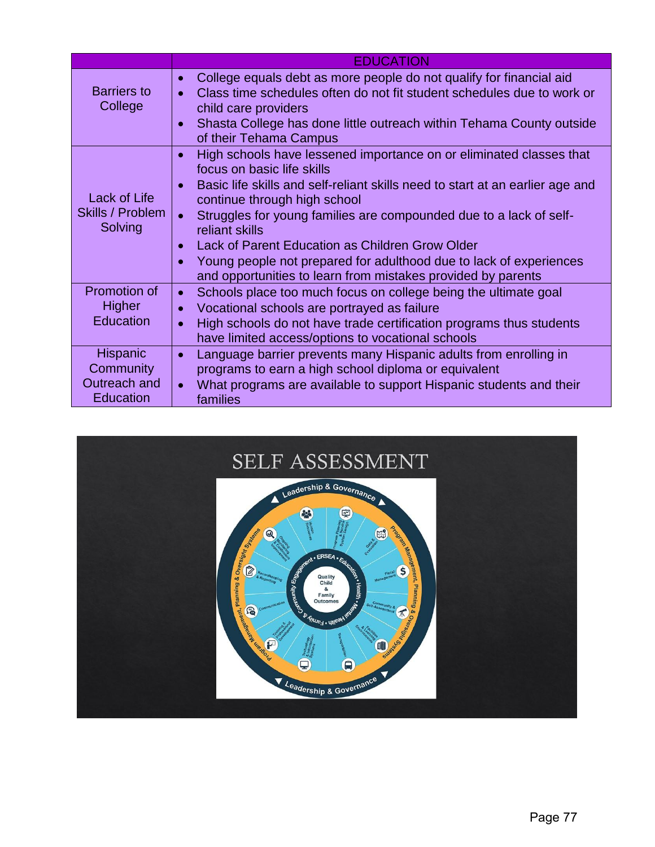|                                                           | <b>EDUCATION</b>                                                                                                                                                                                                                                                                                                                                                                                                                                                                                                                                        |  |
|-----------------------------------------------------------|---------------------------------------------------------------------------------------------------------------------------------------------------------------------------------------------------------------------------------------------------------------------------------------------------------------------------------------------------------------------------------------------------------------------------------------------------------------------------------------------------------------------------------------------------------|--|
| <b>Barriers to</b><br>College                             | College equals debt as more people do not qualify for financial aid<br>$\bullet$<br>Class time schedules often do not fit student schedules due to work or<br>child care providers<br>Shasta College has done little outreach within Tehama County outside<br>of their Tehama Campus                                                                                                                                                                                                                                                                    |  |
| Lack of Life<br>Skills / Problem<br>Solving               | High schools have lessened importance on or eliminated classes that<br>$\bullet$<br>focus on basic life skills<br>Basic life skills and self-reliant skills need to start at an earlier age and<br>continue through high school<br>Struggles for young families are compounded due to a lack of self-<br>$\bullet$<br>reliant skills<br>Lack of Parent Education as Children Grow Older<br>$\bullet$<br>Young people not prepared for adulthood due to lack of experiences<br>$\bullet$<br>and opportunities to learn from mistakes provided by parents |  |
| Promotion of<br>Higher<br>Education                       | Schools place too much focus on college being the ultimate goal<br>$\bullet$<br>Vocational schools are portrayed as failure<br>$\bullet$<br>High schools do not have trade certification programs thus students<br>$\bullet$<br>have limited access/options to vocational schools                                                                                                                                                                                                                                                                       |  |
| Hispanic<br>Community<br>Outreach and<br><b>Education</b> | Language barrier prevents many Hispanic adults from enrolling in<br>$\bullet$<br>programs to earn a high school diploma or equivalent<br>What programs are available to support Hispanic students and their<br>$\bullet$<br>families                                                                                                                                                                                                                                                                                                                    |  |

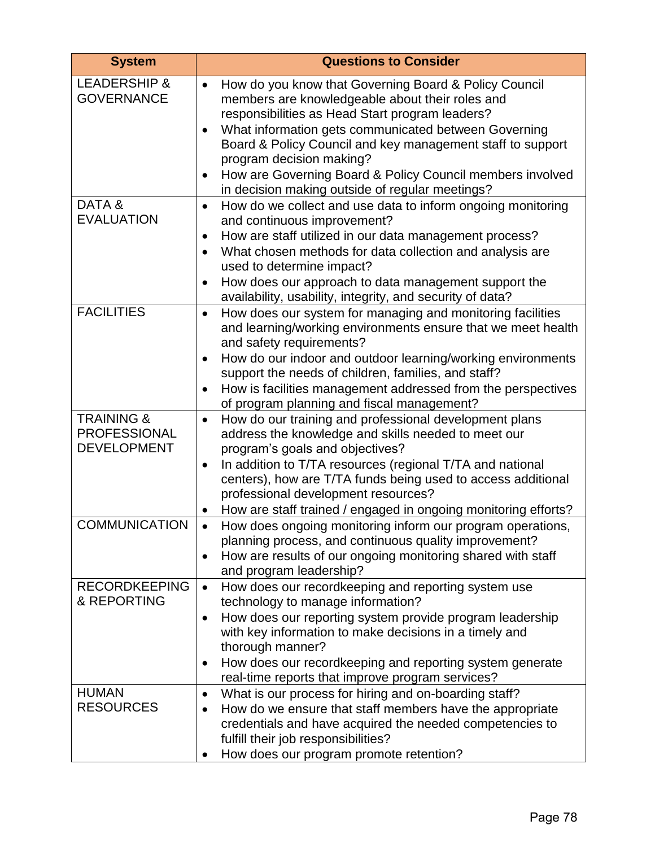| <b>System</b>                                                      | <b>Questions to Consider</b>                                                                                                                                                                                                                                                                                                                                                                                                                                         |
|--------------------------------------------------------------------|----------------------------------------------------------------------------------------------------------------------------------------------------------------------------------------------------------------------------------------------------------------------------------------------------------------------------------------------------------------------------------------------------------------------------------------------------------------------|
| <b>LEADERSHIP &amp;</b><br><b>GOVERNANCE</b>                       | How do you know that Governing Board & Policy Council<br>$\bullet$<br>members are knowledgeable about their roles and<br>responsibilities as Head Start program leaders?<br>What information gets communicated between Governing<br>$\bullet$<br>Board & Policy Council and key management staff to support<br>program decision making?<br>How are Governing Board & Policy Council members involved<br>$\bullet$<br>in decision making outside of regular meetings? |
| DATA&<br><b>EVALUATION</b>                                         | How do we collect and use data to inform ongoing monitoring<br>$\bullet$<br>and continuous improvement?<br>How are staff utilized in our data management process?<br>$\bullet$<br>What chosen methods for data collection and analysis are<br>$\bullet$<br>used to determine impact?<br>How does our approach to data management support the<br>availability, usability, integrity, and security of data?                                                            |
| <b>FACILITIES</b>                                                  | How does our system for managing and monitoring facilities<br>$\bullet$<br>and learning/working environments ensure that we meet health<br>and safety requirements?<br>How do our indoor and outdoor learning/working environments<br>$\bullet$<br>support the needs of children, families, and staff?<br>How is facilities management addressed from the perspectives<br>$\bullet$<br>of program planning and fiscal management?                                    |
| <b>TRAINING &amp;</b><br><b>PROFESSIONAL</b><br><b>DEVELOPMENT</b> | How do our training and professional development plans<br>$\bullet$<br>address the knowledge and skills needed to meet our<br>program's goals and objectives?<br>In addition to T/TA resources (regional T/TA and national<br>$\bullet$<br>centers), how are T/TA funds being used to access additional<br>professional development resources?<br>How are staff trained / engaged in ongoing monitoring efforts?<br>$\bullet$                                        |
| <b>COMMUNICATION</b>                                               | How does ongoing monitoring inform our program operations,<br>planning process, and continuous quality improvement?<br>How are results of our ongoing monitoring shared with staff<br>٠<br>and program leadership?                                                                                                                                                                                                                                                   |
| <b>RECORDKEEPING</b><br>& REPORTING                                | How does our recordkeeping and reporting system use<br>$\bullet$<br>technology to manage information?<br>How does our reporting system provide program leadership<br>$\bullet$<br>with key information to make decisions in a timely and<br>thorough manner?<br>How does our recordkeeping and reporting system generate<br>$\bullet$<br>real-time reports that improve program services?                                                                            |
| <b>HUMAN</b><br><b>RESOURCES</b>                                   | What is our process for hiring and on-boarding staff?<br>٠<br>How do we ensure that staff members have the appropriate<br>$\bullet$<br>credentials and have acquired the needed competencies to<br>fulfill their job responsibilities?<br>How does our program promote retention?                                                                                                                                                                                    |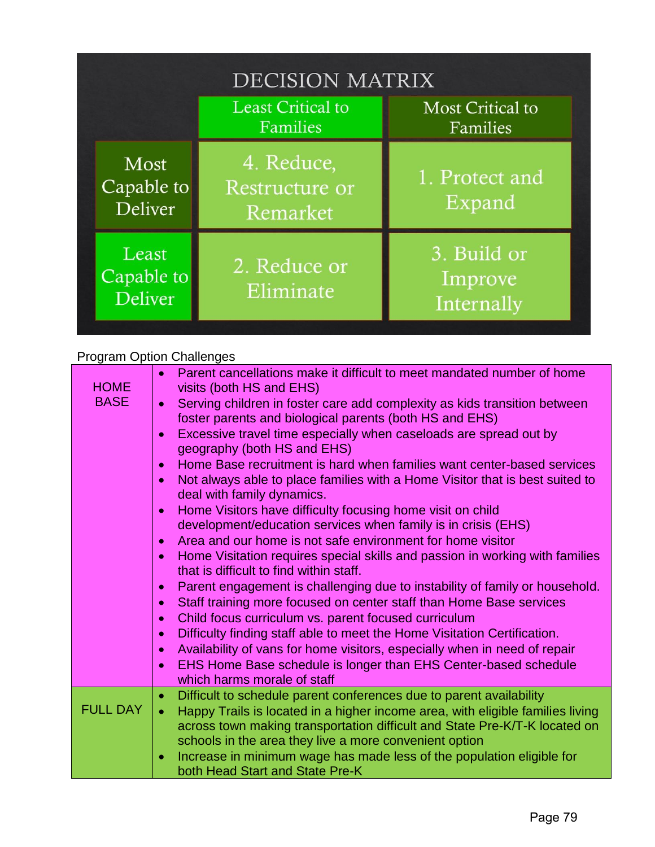| <b>DECISION MATRIX</b>                |                                          |                                      |
|---------------------------------------|------------------------------------------|--------------------------------------|
|                                       | Least Critical to<br>Families            | <b>Most Critical to</b><br>Families  |
| Most<br>Capable to<br><b>Deliver</b>  | 4. Reduce,<br>Restructure or<br>Remarket | 1. Protect and<br>Expand             |
| Least<br>Capable to<br><b>Deliver</b> | 2. Reduce or<br>Eliminate                | 3. Build or<br>Improve<br>Internally |

# Program Option Challenges

| <b>HOME</b>     | Parent cancellations make it difficult to meet mandated number of home<br>$\bullet$<br>visits (both HS and EHS)                                                           |
|-----------------|---------------------------------------------------------------------------------------------------------------------------------------------------------------------------|
| <b>BASE</b>     | Serving children in foster care add complexity as kids transition between<br>$\bullet$<br>foster parents and biological parents (both HS and EHS)                         |
|                 | Excessive travel time especially when caseloads are spread out by<br>$\bullet$<br>geography (both HS and EHS)                                                             |
|                 | Home Base recruitment is hard when families want center-based services<br>$\bullet$                                                                                       |
|                 | Not always able to place families with a Home Visitor that is best suited to<br>$\bullet$<br>deal with family dynamics.                                                   |
|                 | Home Visitors have difficulty focusing home visit on child<br>$\bullet$                                                                                                   |
|                 | development/education services when family is in crisis (EHS)                                                                                                             |
|                 | Area and our home is not safe environment for home visitor<br>$\bullet$                                                                                                   |
|                 | Home Visitation requires special skills and passion in working with families<br>$\bullet$<br>that is difficult to find within staff.                                      |
|                 | Parent engagement is challenging due to instability of family or household.<br>$\bullet$                                                                                  |
|                 | Staff training more focused on center staff than Home Base services<br>$\bullet$                                                                                          |
|                 | Child focus curriculum vs. parent focused curriculum<br>$\bullet$                                                                                                         |
|                 | Difficulty finding staff able to meet the Home Visitation Certification.<br>$\bullet$                                                                                     |
|                 | Availability of vans for home visitors, especially when in need of repair<br>$\bullet$                                                                                    |
|                 | EHS Home Base schedule is longer than EHS Center-based schedule<br>$\bullet$<br>which harms morale of staff                                                               |
|                 | Difficult to schedule parent conferences due to parent availability<br>$\bullet$                                                                                          |
| <b>FULL DAY</b> | Happy Trails is located in a higher income area, with eligible families living<br>$\bullet$<br>across town making transportation difficult and State Pre-K/T-K located on |
|                 | schools in the area they live a more convenient option                                                                                                                    |
|                 | Increase in minimum wage has made less of the population eligible for<br>$\bullet$<br>both Head Start and State Pre-K                                                     |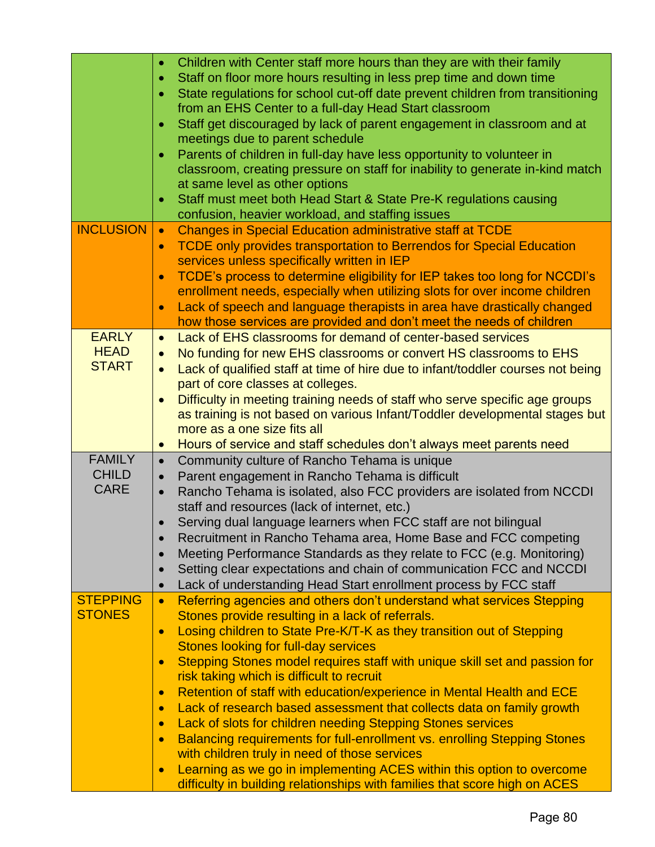|                                              | Children with Center staff more hours than they are with their family<br>$\bullet$<br>Staff on floor more hours resulting in less prep time and down time<br>$\bullet$<br>State regulations for school cut-off date prevent children from transitioning<br>$\bullet$<br>from an EHS Center to a full-day Head Start classroom<br>Staff get discouraged by lack of parent engagement in classroom and at<br>$\bullet$<br>meetings due to parent schedule<br>Parents of children in full-day have less opportunity to volunteer in<br>classroom, creating pressure on staff for inability to generate in-kind match<br>at same level as other options<br>Staff must meet both Head Start & State Pre-K regulations causing<br>confusion, heavier workload, and staffing issues                                                                                                                                                                                                       |
|----------------------------------------------|------------------------------------------------------------------------------------------------------------------------------------------------------------------------------------------------------------------------------------------------------------------------------------------------------------------------------------------------------------------------------------------------------------------------------------------------------------------------------------------------------------------------------------------------------------------------------------------------------------------------------------------------------------------------------------------------------------------------------------------------------------------------------------------------------------------------------------------------------------------------------------------------------------------------------------------------------------------------------------|
| <b>INCLUSION</b>                             | <b>Changes in Special Education administrative staff at TCDE</b><br>$\bullet$<br><b>TCDE only provides transportation to Berrendos for Special Education</b><br>$\bullet$<br>services unless specifically written in IEP<br>TCDE's process to determine eligibility for IEP takes too long for NCCDI's<br>$\bullet$<br>enrollment needs, especially when utilizing slots for over income children<br>Lack of speech and language therapists in area have drastically changed<br>$\bullet$<br>how those services are provided and don't meet the needs of children                                                                                                                                                                                                                                                                                                                                                                                                                  |
| <b>EARLY</b><br><b>HEAD</b><br><b>START</b>  | Lack of EHS classrooms for demand of center-based services<br>$\bullet$<br>No funding for new EHS classrooms or convert HS classrooms to EHS<br>$\bullet$<br>Lack of qualified staff at time of hire due to infant/toddler courses not being<br>$\bullet$<br>part of core classes at colleges.<br>Difficulty in meeting training needs of staff who serve specific age groups<br>$\bullet$<br>as training is not based on various Infant/Toddler developmental stages but<br>more as a one size fits all<br>Hours of service and staff schedules don't always meet parents need<br>$\bullet$                                                                                                                                                                                                                                                                                                                                                                                       |
| <b>FAMILY</b><br><b>CHILD</b><br><b>CARE</b> | Community culture of Rancho Tehama is unique<br>$\bullet$<br>Parent engagement in Rancho Tehama is difficult<br>$\bullet$<br>Rancho Tehama is isolated, also FCC providers are isolated from NCCDI<br>$\bullet$<br>staff and resources (lack of internet, etc.)<br>Serving dual language learners when FCC staff are not bilingual<br>$\bullet$<br>Recruitment in Rancho Tehama area, Home Base and FCC competing<br>Meeting Performance Standards as they relate to FCC (e.g. Monitoring)<br>Setting clear expectations and chain of communication FCC and NCCDI<br>$\bullet$<br>Lack of understanding Head Start enrollment process by FCC staff<br>$\bullet$                                                                                                                                                                                                                                                                                                                    |
| <b>STEPPING</b><br><b>STONES</b>             | Referring agencies and others don't understand what services Stepping<br>$\bullet$<br>Stones provide resulting in a lack of referrals.<br>Losing children to State Pre-K/T-K as they transition out of Stepping<br>$\bullet$<br>Stones looking for full-day services<br>Stepping Stones model requires staff with unique skill set and passion for<br>$\bullet$<br>risk taking which is difficult to recruit<br>Retention of staff with education/experience in Mental Health and ECE<br>$\bullet$<br>Lack of research based assessment that collects data on family growth<br>$\bullet$<br>Lack of slots for children needing Stepping Stones services<br>$\bullet$<br>Balancing requirements for full-enrollment vs. enrolling Stepping Stones<br>$\bullet$<br>with children truly in need of those services<br>Learning as we go in implementing ACES within this option to overcome<br>$\bullet$<br>difficulty in building relationships with families that score high on ACES |